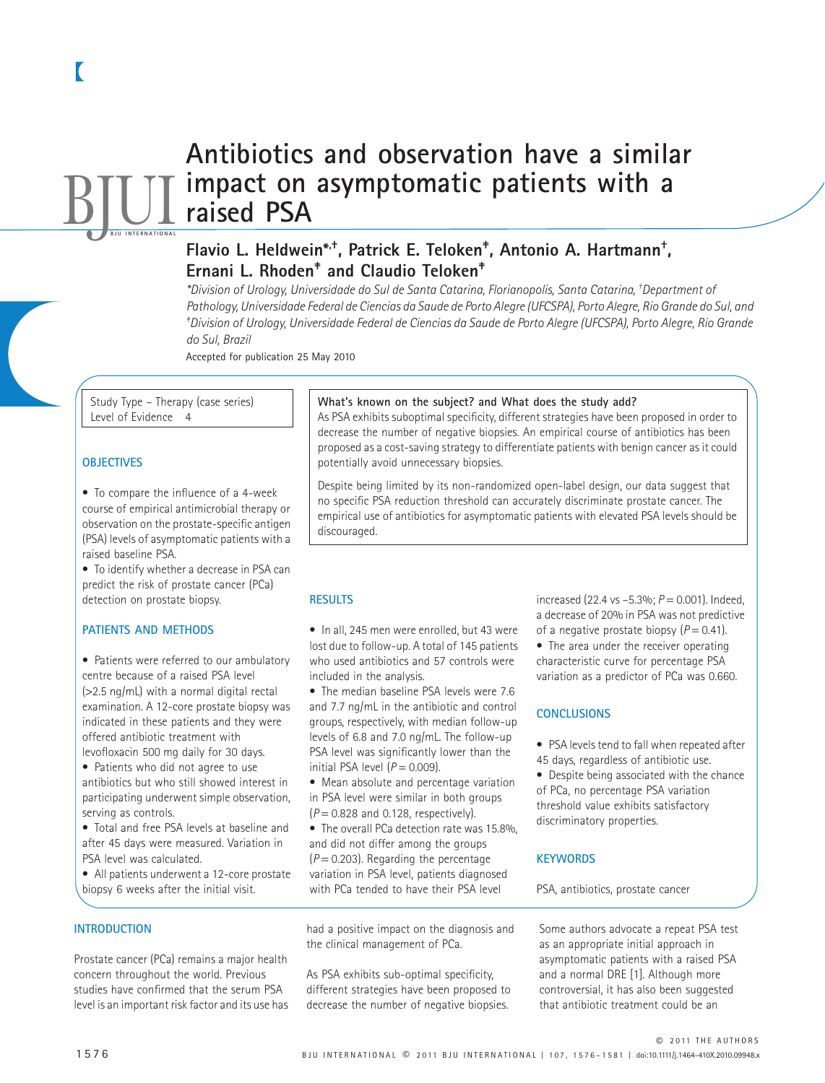# **Antibiotics and observation have a similar impact on asymptomatic patients with a raised PSA BJUL**

## **Flavio L. Heldwein\*,†, Patrick E. Teloken‡ , Antonio A. Hartmann† , Ernani L. Rhoden‡ and Claudio Teloken‡**

*\*Division of Urology, Universidade do Sul de Santa Catarina, Florianopolis, Santa Catarina, † Department of Pathology, Universidade Federal de Ciencias da Saude de Porto Alegre (UFCSPA), Porto Alegre, Rio Grande do Sul, and ‡ Division of Urology, Universidade Federal de Ciencias da Saude de Porto Alegre (UFCSPA), Porto Alegre, Rio Grande do Sul, Brazil*

Accepted for publication 25 May 2010

Study Type – Therapy (case series) Level of Evidence 4

#### **OBJECTIVES**

• To compare the influence of a 4-week course of empirical antimicrobial therapy or observation on the prostate-specific antigen (PSA) levels of asymptomatic patients with a raised baseline PSA.

• To identify whether a decrease in PSA can predict the risk of prostate cancer (PCa) detection on prostate biopsy.

#### **PATIENTS AND METHODS**

• Patients were referred to our ambulatory centre because of a raised PSA level (>2.5 ng/mL) with a normal digital rectal examination. A 12-core prostate biopsy was indicated in these patients and they were offered antibiotic treatment with levofloxacin 500 mg daily for 30 days.

• Patients who did not agree to use antibiotics but who still showed interest in participating underwent simple observation, serving as controls.

• Total and free PSA levels at baseline and after 45 days were measured. Variation in PSA level was calculated.

• All patients underwent a 12-core prostate biopsy 6 weeks after the initial visit.

#### **INTRODUCTION**

Prostate cancer (PCa) remains a major health concern throughout the world. Previous studies have confirmed that the serum PSA level is an important risk factor and its use has

#### **What's known on the subject? and What does the study add?**

As PSA exhibits suboptimal specificity, different strategies have been proposed in order to decrease the number of negative biopsies. An empirical course of antibiotics has been proposed as a cost-saving strategy to differentiate patients with benign cancer as it could potentially avoid unnecessary biopsies.

Despite being limited by its non-randomized open-label design, our data suggest that no specific PSA reduction threshold can accurately discriminate prostate cancer. The empirical use of antibiotics for asymptomatic patients with elevated PSA levels should be discouraged.

#### **RESULTS**

• In all, 245 men were enrolled, but 43 were lost due to follow-up. A total of 145 patients who used antibiotics and 57 controls were included in the analysis.

• The median baseline PSA levels were 7.6 and 7.7 ng/mL in the antibiotic and control groups, respectively, with median follow-up levels of 6.8 and 7.0 ng/mL. The follow-up PSA level was significantly lower than the initial PSA level  $(P = 0.009)$ .

• Mean absolute and percentage variation in PSA level were similar in both groups  $(P = 0.828$  and 0.128, respectively).

• The overall PCa detection rate was 15.8%, and did not differ among the groups  $(P = 0.203)$ . Regarding the percentage variation in PSA level, patients diagnosed with PCa tended to have their PSA level

had a positive impact on the diagnosis and the clinical management of PCa.

As PSA exhibits sub-optimal specificity, different strategies have been proposed to decrease the number of negative biopsies.

increased (22.4 vs  $-5.3\%$ ;  $P = 0.001$ ). Indeed, a decrease of 20% in PSA was not predictive of a negative prostate biopsy  $(P = 0.41)$ .

• The area under the receiver operating characteristic curve for percentage PSA variation as a predictor of PCa was 0.660.

#### **CONCLUSIONS**

• PSA levels tend to fall when repeated after 45 days, regardless of antibiotic use.

• Despite being associated with the chance of PCa, no percentage PSA variation threshold value exhibits satisfactory discriminatory properties.

#### **KEYWORDS**

PSA, antibiotics, prostate cancer

Some authors advocate a repeat PSA test as an appropriate initial approach in asymptomatic patients with a raised PSA and a normal DRE [1]. Although more controversial, it has also been suggested that antibiotic treatment could be an

© 2011 THE AUTHORS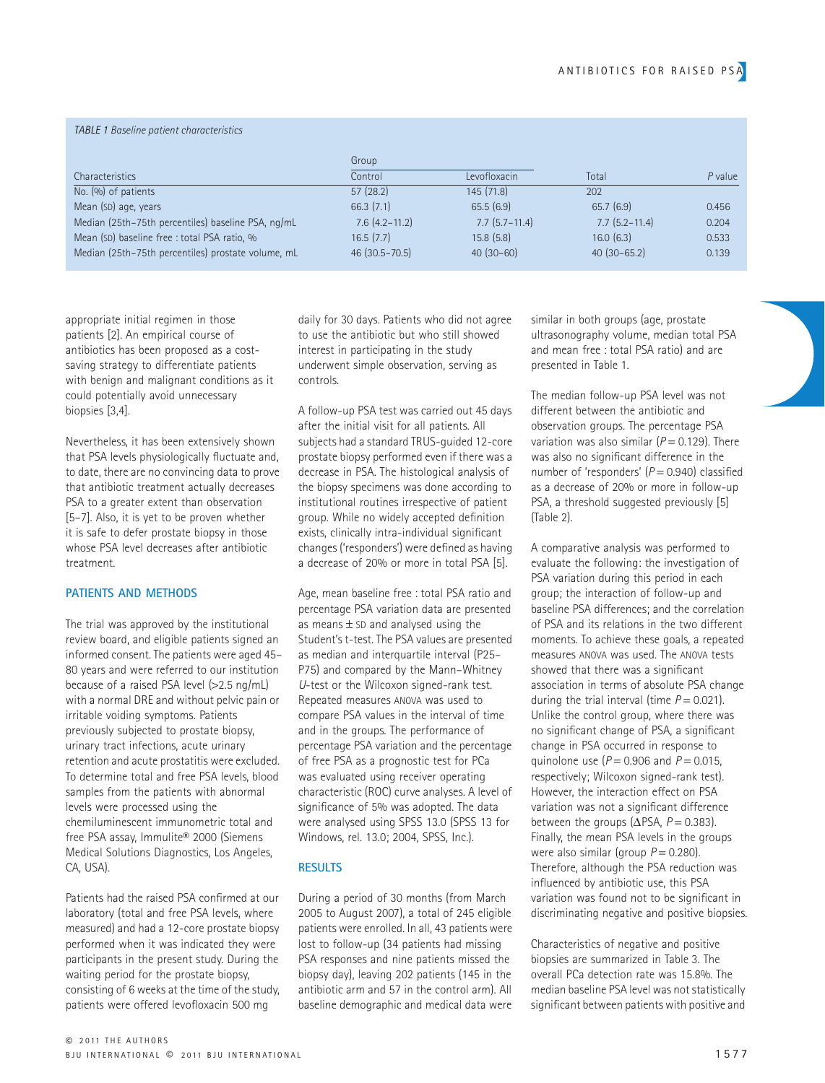#### *TABLE 1 Baseline patient characteristics*

| <b>Characteristics</b>                             | Group                |                      |                      |         |
|----------------------------------------------------|----------------------|----------------------|----------------------|---------|
|                                                    | Control              | Levofloxacin         | Total                | P value |
| No. (%) of patients                                | 57(28.2)             | 145(71.8)            | 202                  |         |
| Mean (SD) age, years                               | 66.3(7.1)            | 65.5(6.9)            | 65.7(6.9)            | 0.456   |
| Median (25th-75th percentiles) baseline PSA, ng/mL | $7.6$ $(4.2 - 11.2)$ | $7.7$ $(5.7 - 11.4)$ | $7.7$ $(5.2 - 11.4)$ | 0.204   |
| Mean (SD) baseline free : total PSA ratio, %       | 16.5(7.7)            | 15.8(5.8)            | $16.0$ $(6.3)$       | 0.533   |
| Median (25th-75th percentiles) prostate volume, mL | $46(30.5 - 70.5)$    | $40(30-60)$          | $40(30-65.2)$        | 0.139   |

appropriate initial regimen in those patients [2]. An empirical course of antibiotics has been proposed as a costsaving strategy to differentiate patients with benign and malignant conditions as it could potentially avoid unnecessary biopsies [3,4].

Nevertheless, it has been extensively shown that PSA levels physiologically fluctuate and, to date, there are no convincing data to prove that antibiotic treatment actually decreases PSA to a greater extent than observation [5–7]. Also, it is yet to be proven whether it is safe to defer prostate biopsy in those whose PSA level decreases after antibiotic treatment.

## **PATIENTS AND METHODS**

The trial was approved by the institutional review board, and eligible patients signed an informed consent. The patients were aged 45– 80 years and were referred to our institution because of a raised PSA level (>2.5 ng/mL) with a normal DRE and without pelvic pain or irritable voiding symptoms. Patients previously subjected to prostate biopsy, urinary tract infections, acute urinary retention and acute prostatitis were excluded. To determine total and free PSA levels, blood samples from the patients with abnormal levels were processed using the chemiluminescent immunometric total and free PSA assay, Immulite® 2000 (Siemens Medical Solutions Diagnostics, Los Angeles, CA, USA).

Patients had the raised PSA confirmed at our laboratory (total and free PSA levels, where measured) and had a 12-core prostate biopsy performed when it was indicated they were participants in the present study. During the waiting period for the prostate biopsy, consisting of 6 weeks at the time of the study, patients were offered levofloxacin 500 mg

daily for 30 days. Patients who did not agree to use the antibiotic but who still showed interest in participating in the study underwent simple observation, serving as controls.

A follow-up PSA test was carried out 45 days after the initial visit for all patients. All subjects had a standard TRUS-guided 12-core prostate biopsy performed even if there was a decrease in PSA. The histological analysis of the biopsy specimens was done according to institutional routines irrespective of patient group. While no widely accepted definition exists, clinically intra-individual significant changes ('responders') were defined as having a decrease of 20% or more in total PSA [5].

Age, mean baseline free : total PSA ratio and percentage PSA variation data are presented as means  $\pm$  SD and analysed using the Student's t-test. The PSA values are presented as median and interquartile interval (P25– P75) and compared by the Mann–Whitney *U*-test or the Wilcoxon signed-rank test. Repeated measures ANOVA was used to compare PSA values in the interval of time and in the groups. The performance of percentage PSA variation and the percentage of free PSA as a prognostic test for PCa was evaluated using receiver operating characteristic (ROC) curve analyses. A level of significance of 5% was adopted. The data were analysed using SPSS 13.0 (SPSS 13 for Windows, rel. 13.0; 2004, SPSS, Inc.).

## **RESULTS**

During a period of 30 months (from March 2005 to August 2007), a total of 245 eligible patients were enrolled. In all, 43 patients were lost to follow-up (34 patients had missing PSA responses and nine patients missed the biopsy day), leaving 202 patients (145 in the antibiotic arm and 57 in the control arm). All baseline demographic and medical data were

similar in both groups (age, prostate ultrasonography volume, median total PSA and mean free : total PSA ratio) and are presented in Table 1.

The median follow-up PSA level was not different between the antibiotic and observation groups. The percentage PSA variation was also similar ( $P = 0.129$ ). There was also no significant difference in the number of 'responders' ( $P = 0.940$ ) classified as a decrease of 20% or more in follow-up PSA, a threshold suggested previously [5] (Table 2).

A comparative analysis was performed to evaluate the following: the investigation of PSA variation during this period in each group; the interaction of follow-up and baseline PSA differences; and the correlation of PSA and its relations in the two different moments. To achieve these goals, a repeated measures ANOVA was used. The ANOVA tests showed that there was a significant association in terms of absolute PSA change during the trial interval (time  $P = 0.021$ ). Unlike the control group, where there was no significant change of PSA, a significant change in PSA occurred in response to quinolone use  $(P = 0.906$  and  $P = 0.015$ , respectively; Wilcoxon signed-rank test). However, the interaction effect on PSA variation was not a significant difference between the groups ( $\Delta$ PSA,  $P = 0.383$ ). Finally, the mean PSA levels in the groups were also similar (group  $P = 0.280$ ). Therefore, although the PSA reduction was influenced by antibiotic use, this PSA variation was found not to be significant in discriminating negative and positive biopsies.

Characteristics of negative and positive biopsies are summarized in Table 3. The overall PCa detection rate was 15.8%. The median baseline PSA level was not statistically significant between patients with positive and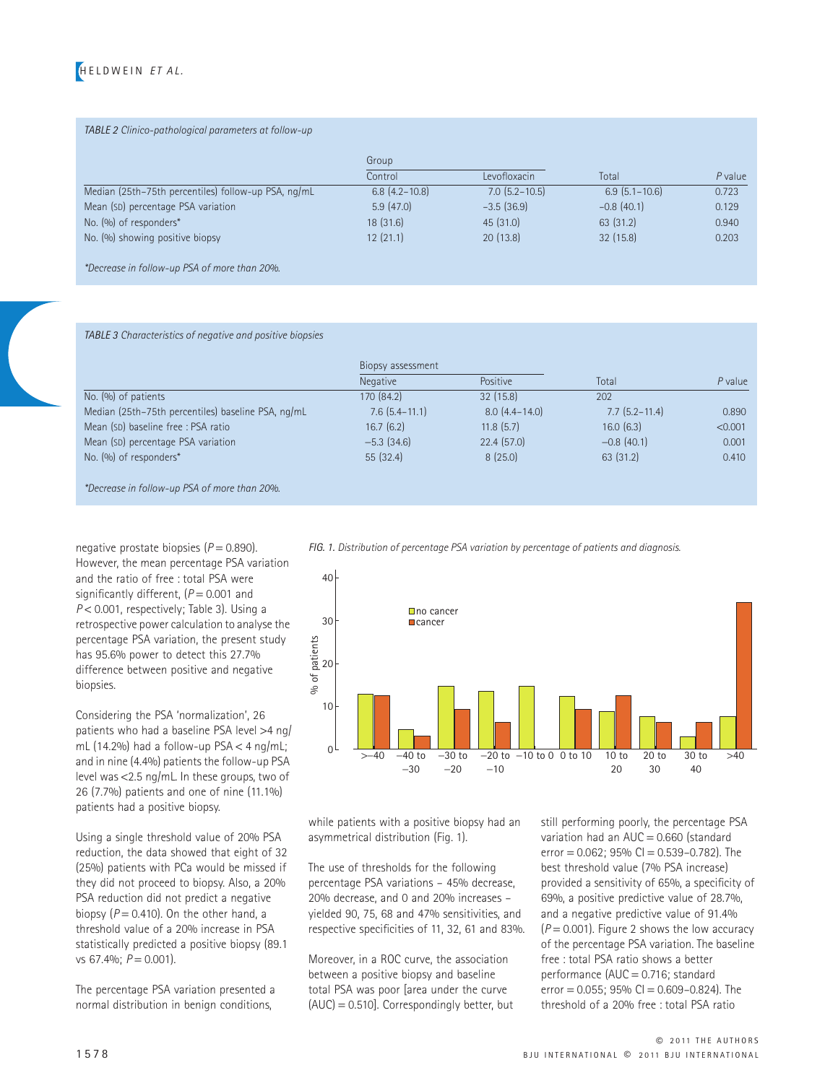

#### *TABLE 2 Clinico-pathological parameters at follow-up*

|                                                     | Group                |                      |                      |         |
|-----------------------------------------------------|----------------------|----------------------|----------------------|---------|
|                                                     | Control              | Levofloxacin         | Total                | P value |
| Median (25th-75th percentiles) follow-up PSA, ng/mL | $6.8$ $(4.2 - 10.8)$ | $7.0$ $(5.2 - 10.5)$ | $6.9$ $(5.1 - 10.6)$ | 0.723   |
| Mean (SD) percentage PSA variation                  | 5.9(47.0)            | $-3.5(36.9)$         | $-0.8(40.1)$         | 0.129   |
| No. (%) of responders*                              | 18(31.6)             | 45(31.0)             | 63 (31.2)            | 0.940   |
| No. (%) showing positive biopsy                     | 12(21.1)             | 20(13.8)             | 32(15.8)             | 0.203   |
|                                                     |                      |                      |                      |         |

*\*Decrease in follow-up PSA of more than 20%.*

*TABLE 3 Characteristics of negative and positive biopsies*

|                                                    | Biopsy assessment    |                   |                   |         |
|----------------------------------------------------|----------------------|-------------------|-------------------|---------|
|                                                    | Negative             | <b>Positive</b>   | Total             | P value |
| No. $(\%)$ of patients                             | 170 (84.2)           | 32(15.8)          | 202               |         |
| Median (25th-75th percentiles) baseline PSA, ng/mL | $7.6$ $(5.4 - 11.1)$ | $8.0(4.4 - 14.0)$ | $7.7(5.2 - 11.4)$ | 0.890   |
| Mean (SD) baseline free : PSA ratio                | 16.7(6.2)            | 11.8(5.7)         | 16.0(6.3)         | < 0.001 |
| Mean (SD) percentage PSA variation                 | $-5.3$ (34.6)        | 22.4(57.0)        | $-0.8(40.1)$      | 0.001   |
| No. (%) of responders*                             | 55(32.4)             | 8(25.0)           | 63(31.2)          | 0.410   |
|                                                    |                      |                   |                   |         |

*\*Decrease in follow-up PSA of more than 20%.*

negative prostate biopsies (*P* = 0.890). However, the mean percentage PSA variation and the ratio of free : total PSA were significantly different,  $(P = 0.001$  and *P* < 0.001, respectively; Table 3). Using a retrospective power calculation to analyse the percentage PSA variation, the present study has 95.6% power to detect this 27.7% difference between positive and negative biopsies.

Considering the PSA 'normalization', 26 patients who had a baseline PSA level >4 ng/ mL (14.2%) had a follow-up  $PSA < 4$  ng/mL; and in nine (4.4%) patients the follow-up PSA level was <2.5 ng/mL. In these groups, two of 26 (7.7%) patients and one of nine (11.1%) patients had a positive biopsy.

Using a single threshold value of 20% PSA reduction, the data showed that eight of 32 (25%) patients with PCa would be missed if they did not proceed to biopsy. Also, a 20% PSA reduction did not predict a negative biopsy  $(P = 0.410)$ . On the other hand, a threshold value of a 20% increase in PSA statistically predicted a positive biopsy (89.1 vs 67.4%; *P* = 0.001).

The percentage PSA variation presented a normal distribution in benign conditions,

*FIG. 1. Distribution of percentage PSA variation by percentage of patients and diagnosis.*



while patients with a positive biopsy had an asymmetrical distribution (Fig. 1).

The use of thresholds for the following percentage PSA variations – 45% decrease, 20% decrease, and 0 and 20% increases – yielded 90, 75, 68 and 47% sensitivities, and respective specificities of 11, 32, 61 and 83%.

Moreover, in a ROC curve, the association between a positive biopsy and baseline total PSA was poor [area under the curve (AUC) = 0.510]. Correspondingly better, but still performing poorly, the percentage PSA variation had an  $AUC = 0.660$  (standard error =  $0.062$ ; 95% CI =  $0.539 - 0.782$ ). The best threshold value (7% PSA increase) provided a sensitivity of 65%, a specificity of 69%, a positive predictive value of 28.7%, and a negative predictive value of 91.4%  $(P = 0.001)$ . Figure 2 shows the low accuracy of the percentage PSA variation. The baseline free : total PSA ratio shows a better performance (AUC = 0.716; standard error  $= 0.055$ : 95% CI  $= 0.609 - 0.824$ ). The threshold of a 20% free : total PSA ratio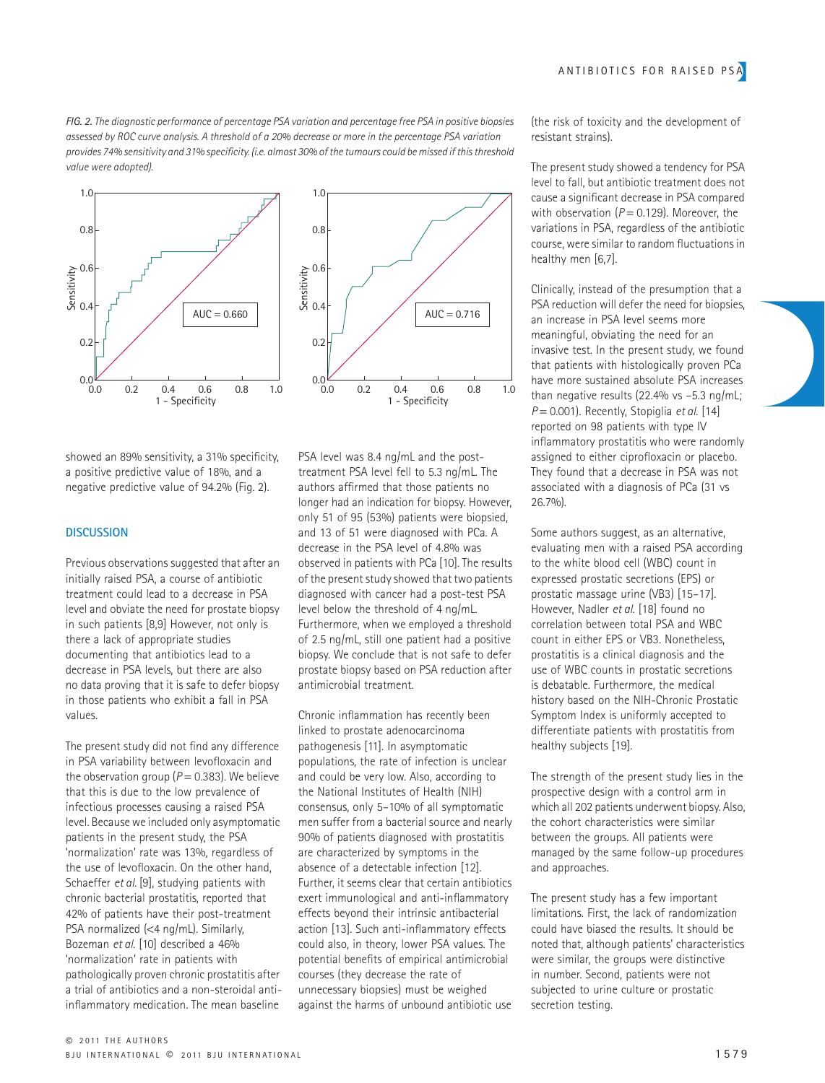*FIG. 2. The diagnostic performance of percentage PSA variation and percentage free PSA in positive biopsies assessed by ROC curve analysis. A threshold of a 20% decrease or more in the percentage PSA variation provides 74% sensitivity and 31% specificity. (i.e. almost 30% of the tumours could be missed if this threshold value were adopted).*





showed an 89% sensitivity, a 31% specificity, a positive predictive value of 18%, and a negative predictive value of 94.2% (Fig. 2).

#### **DISCUSSION**

Previous observations suggested that after an initially raised PSA, a course of antibiotic treatment could lead to a decrease in PSA level and obviate the need for prostate biopsy in such patients [8,9] However, not only is there a lack of appropriate studies documenting that antibiotics lead to a decrease in PSA levels, but there are also no data proving that it is safe to defer biopsy in those patients who exhibit a fall in PSA values.

The present study did not find any difference in PSA variability between levofloxacin and the observation group  $(P = 0.383)$ . We believe that this is due to the low prevalence of infectious processes causing a raised PSA level. Because we included only asymptomatic patients in the present study, the PSA 'normalization' rate was 13%, regardless of the use of levofloxacin. On the other hand, Schaeffer *et al.* [9], studying patients with chronic bacterial prostatitis, reported that 42% of patients have their post-treatment PSA normalized (<4 ng/mL). Similarly, Bozeman *et al*. [10] described a 46% 'normalization' rate in patients with pathologically proven chronic prostatitis after a trial of antibiotics and a non-steroidal antiinflammatory medication. The mean baseline

PSA level was 8.4 ng/mL and the posttreatment PSA level fell to 5.3 ng/mL. The authors affirmed that those patients no longer had an indication for biopsy. However, only 51 of 95 (53%) patients were biopsied, and 13 of 51 were diagnosed with PCa. A decrease in the PSA level of 4.8% was observed in patients with PCa [10]. The results of the present study showed that two patients diagnosed with cancer had a post-test PSA level below the threshold of 4 ng/mL. Furthermore, when we employed a threshold of 2.5 ng/mL, still one patient had a positive biopsy. We conclude that is not safe to defer prostate biopsy based on PSA reduction after antimicrobial treatment.

Chronic inflammation has recently been linked to prostate adenocarcinoma pathogenesis [11]. In asymptomatic populations, the rate of infection is unclear and could be very low. Also, according to the National Institutes of Health (NIH) consensus, only 5–10% of all symptomatic men suffer from a bacterial source and nearly 90% of patients diagnosed with prostatitis are characterized by symptoms in the absence of a detectable infection [12]. Further, it seems clear that certain antibiotics exert immunological and anti-inflammatory effects beyond their intrinsic antibacterial action [13]. Such anti-inflammatory effects could also, in theory, lower PSA values. The potential benefits of empirical antimicrobial courses (they decrease the rate of unnecessary biopsies) must be weighed against the harms of unbound antibiotic use

(the risk of toxicity and the development of resistant strains).

The present study showed a tendency for PSA level to fall, but antibiotic treatment does not cause a significant decrease in PSA compared with observation  $(P = 0.129)$ . Moreover, the variations in PSA, regardless of the antibiotic course, were similar to random fluctuations in healthy men [6,7].

Clinically, instead of the presumption that a PSA reduction will defer the need for biopsies, an increase in PSA level seems more meaningful, obviating the need for an invasive test. In the present study, we found that patients with histologically proven PCa have more sustained absolute PSA increases than negative results (22.4% vs -5.3 ng/mL; *P* = 0.001). Recently, Stopiglia *et al*. [14] reported on 98 patients with type IV inflammatory prostatitis who were randomly assigned to either ciprofloxacin or placebo. They found that a decrease in PSA was not associated with a diagnosis of PCa (31 vs 26.7%).

Some authors suggest, as an alternative, evaluating men with a raised PSA according to the white blood cell (WBC) count in expressed prostatic secretions (EPS) or prostatic massage urine (VB3) [15–17]. However, Nadler *et al*. [18] found no correlation between total PSA and WBC count in either EPS or VB3. Nonetheless, prostatitis is a clinical diagnosis and the use of WBC counts in prostatic secretions is debatable. Furthermore, the medical history based on the NIH-Chronic Prostatic Symptom Index is uniformly accepted to differentiate patients with prostatitis from healthy subjects [19].

The strength of the present study lies in the prospective design with a control arm in which all 202 patients underwent biopsy. Also, the cohort characteristics were similar between the groups. All patients were managed by the same follow-up procedures and approaches.

The present study has a few important limitations. First, the lack of randomization could have biased the results. It should be noted that, although patients' characteristics were similar, the groups were distinctive in number. Second, patients were not subjected to urine culture or prostatic secretion testing.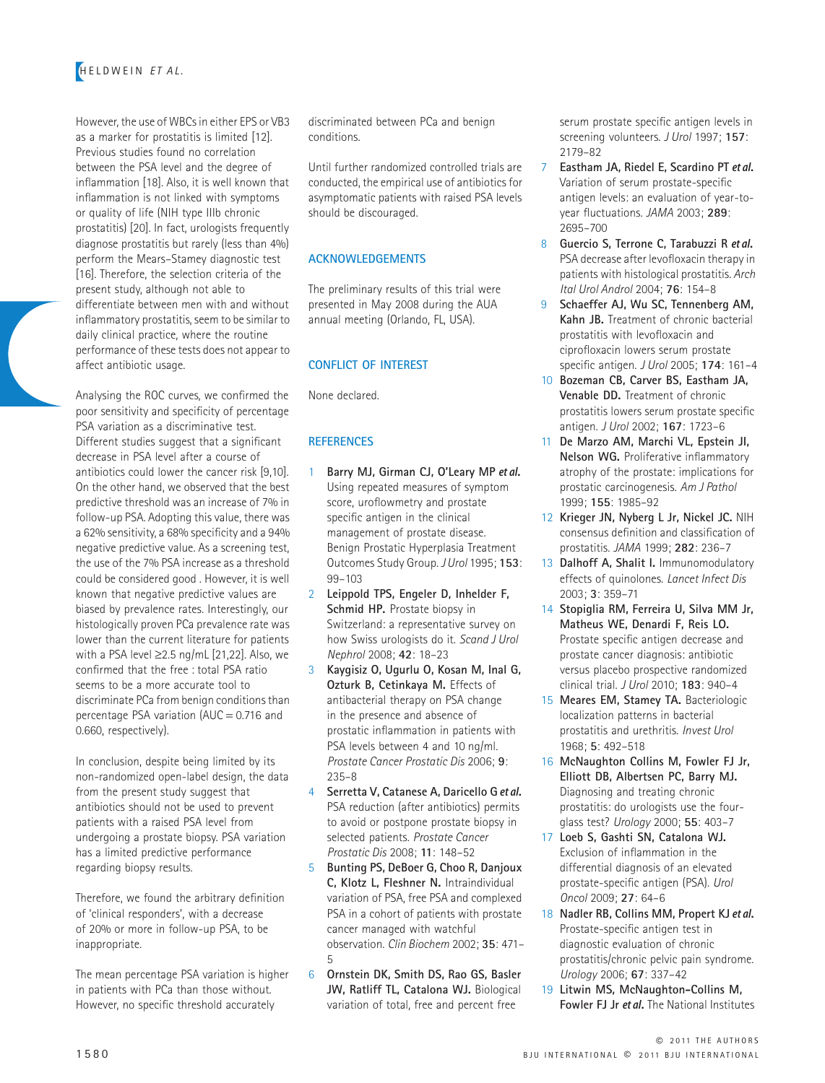However, the use of WBCs in either EPS or VB3 as a marker for prostatitis is limited [12]. Previous studies found no correlation between the PSA level and the degree of inflammation [18]. Also, it is well known that inflammation is not linked with symptoms or quality of life (NIH type IIIb chronic prostatitis) [20]. In fact, urologists frequently diagnose prostatitis but rarely (less than 4%) perform the Mears–Stamey diagnostic test [16]. Therefore, the selection criteria of the present study, although not able to differentiate between men with and without inflammatory prostatitis, seem to be similar to daily clinical practice, where the routine performance of these tests does not appear to affect antibiotic usage.

Analysing the ROC curves, we confirmed the poor sensitivity and specificity of percentage PSA variation as a discriminative test. Different studies suggest that a significant decrease in PSA level after a course of antibiotics could lower the cancer risk [9,10]. On the other hand, we observed that the best predictive threshold was an increase of 7% in follow-up PSA. Adopting this value, there was a 62% sensitivity, a 68% specificity and a 94% negative predictive value. As a screening test, the use of the 7% PSA increase as a threshold could be considered good . However, it is well known that negative predictive values are biased by prevalence rates. Interestingly, our histologically proven PCa prevalence rate was lower than the current literature for patients with a PSA level ≥2.5 ng/mL [21,22]. Also, we confirmed that the free : total PSA ratio seems to be a more accurate tool to discriminate PCa from benign conditions than percentage PSA variation (AUC = 0.716 and 0.660, respectively).

In conclusion, despite being limited by its non-randomized open-label design, the data from the present study suggest that antibiotics should not be used to prevent patients with a raised PSA level from undergoing a prostate biopsy. PSA variation has a limited predictive performance regarding biopsy results.

Therefore, we found the arbitrary definition of 'clinical responders', with a decrease of 20% or more in follow-up PSA, to be inappropriate.

The mean percentage PSA variation is higher in patients with PCa than those without. However, no specific threshold accurately

discriminated between PCa and benign conditions.

Until further randomized controlled trials are conducted, the empirical use of antibiotics for asymptomatic patients with raised PSA levels should be discouraged.

## **ACKNOWLEDGEMENTS**

The preliminary results of this trial were presented in May 2008 during the AUA annual meeting (Orlando, FL, USA).

## **CONFLICT OF INTEREST**

None declared.

## **REFERENCES**

- 1 **Barry MJ, Girman CJ, O'Leary MP** et al**.**  Using repeated measures of symptom score, uroflowmetry and prostate specific antigen in the clinical management of prostate disease. Benign Prostatic Hyperplasia Treatment Outcomes Study Group. *J Urol* 1995; **153**: 99–103
- 2 **Leippold TPS, Engeler D, Inhelder F, Schmid HP.** Prostate biopsy in Switzerland: a representative survey on how Swiss urologists do it. *Scand J Urol Nephrol* 2008; **42**: 18–23
- 3 **Kaygisiz O, Ugurlu O, Kosan M, Inal G, Ozturk B, Cetinkaya M.** Effects of antibacterial therapy on PSA change in the presence and absence of prostatic inflammation in patients with PSA levels between 4 and 10 ng/ml. *Prostate Cancer Prostatic Dis* 2006; **9**: 235–8
- 4 **Serretta V, Catanese A, Daricello G** et al**.**  PSA reduction (after antibiotics) permits to avoid or postpone prostate biopsy in selected patients. *Prostate Cancer Prostatic Dis* 2008; **11**: 148–52
- 5 **Bunting PS, DeBoer G, Choo R, Danjoux C, Klotz L, Fleshner N.** Intraindividual variation of PSA, free PSA and complexed PSA in a cohort of patients with prostate cancer managed with watchful observation. *Clin Biochem* 2002; **35**: 471– 5
- 6 **Ornstein DK, Smith DS, Rao GS, Basler JW, Ratliff TL, Catalona WJ.** Biological variation of total, free and percent free

serum prostate specific antigen levels in screening volunteers. *J Urol* 1997; **157**: 2179–82

- 7 **Eastham JA, Riedel E, Scardino PT** et al**.**  Variation of serum prostate-specific antigen levels: an evaluation of year-toyear fluctuations. *JAMA* 2003; **289**: 2695–700
- 8 **Guercio S, Terrone C, Tarabuzzi R** et al**.**  PSA decrease after levofloxacin therapy in patients with histological prostatitis. *Arch Ital Urol Androl* 2004; **76**: 154–8
- 9 **Schaeffer AJ, Wu SC, Tennenberg AM, Kahn JB.** Treatment of chronic bacterial prostatitis with levofloxacin and ciprofloxacin lowers serum prostate specific antigen. *J Urol* 2005; **174**: 161–4
- 10 **Bozeman CB, Carver BS, Eastham JA, Venable DD.** Treatment of chronic prostatitis lowers serum prostate specific antigen. *J Urol* 2002; **167**: 1723–6
- 11 **De Marzo AM, Marchi VL, Epstein JI, Nelson WG.** Proliferative inflammatory atrophy of the prostate: implications for prostatic carcinogenesis. *Am J Pathol* 1999; **155**: 1985–92
- 12 **Krieger JN, Nyberg L Jr, Nickel JC.** NIH consensus definition and classification of prostatitis. *JAMA* 1999; **282**: 236–7
- 13 **Dalhoff A, Shalit I.** Immunomodulatory effects of quinolones. *Lancet Infect Dis* 2003; **3**: 359–71
- 14 **Stopiglia RM, Ferreira U, Silva MM Jr, Matheus WE, Denardi F, Reis LO.**  Prostate specific antigen decrease and prostate cancer diagnosis: antibiotic versus placebo prospective randomized clinical trial. *J Urol* 2010; **183**: 940–4
- 15 **Meares EM, Stamey TA.** Bacteriologic localization patterns in bacterial prostatitis and urethritis. *Invest Urol* 1968; **5**: 492–518
- 16 **McNaughton Collins M, Fowler FJ Jr, Elliott DB, Albertsen PC, Barry MJ.**  Diagnosing and treating chronic prostatitis: do urologists use the fourglass test? *Urology* 2000; **55**: 403–7
- 17 **Loeb S, Gashti SN, Catalona WJ.**  Exclusion of inflammation in the differential diagnosis of an elevated prostate-specific antigen (PSA). *Urol Oncol* 2009; **27**: 64–6
- 18 **Nadler RB, Collins MM, Propert KJ** et al**.**  Prostate-specific antigen test in diagnostic evaluation of chronic prostatitis/chronic pelvic pain syndrome. *Urology* 2006; **67**: 337–42
- 19 **Litwin MS, McNaughton-Collins M, Fowler FJ Jr** et al**.** The National Institutes